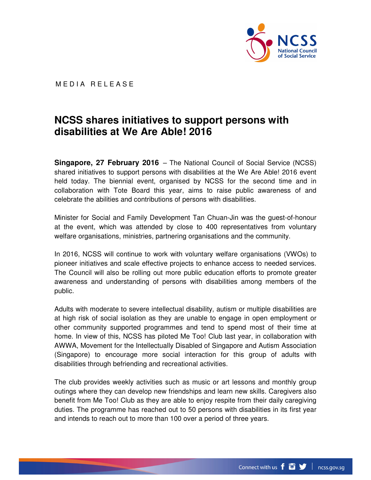

MEDIA RELEASE

## **NCSS shares initiatives to support persons with disabilities at We Are Able! 2016**

**Singapore, 27 February 2016** – The National Council of Social Service (NCSS) shared initiatives to support persons with disabilities at the We Are Able! 2016 event held today. The biennial event, organised by NCSS for the second time and in collaboration with Tote Board this year, aims to raise public awareness of and celebrate the abilities and contributions of persons with disabilities.

Minister for Social and Family Development Tan Chuan-Jin was the guest-of-honour at the event, which was attended by close to 400 representatives from voluntary welfare organisations, ministries, partnering organisations and the community.

In 2016, NCSS will continue to work with voluntary welfare organisations (VWOs) to pioneer initiatives and scale effective projects to enhance access to needed services. The Council will also be rolling out more public education efforts to promote greater awareness and understanding of persons with disabilities among members of the public.

Adults with moderate to severe intellectual disability, autism or multiple disabilities are at high risk of social isolation as they are unable to engage in open employment or other community supported programmes and tend to spend most of their time at home. In view of this, NCSS has piloted Me Too! Club last year, in collaboration with AWWA, Movement for the Intellectually Disabled of Singapore and Autism Association (Singapore) to encourage more social interaction for this group of adults with disabilities through befriending and recreational activities.

The club provides weekly activities such as music or art lessons and monthly group outings where they can develop new friendships and learn new skills. Caregivers also benefit from Me Too! Club as they are able to enjoy respite from their daily caregiving duties. The programme has reached out to 50 persons with disabilities in its first year and intends to reach out to more than 100 over a period of three years.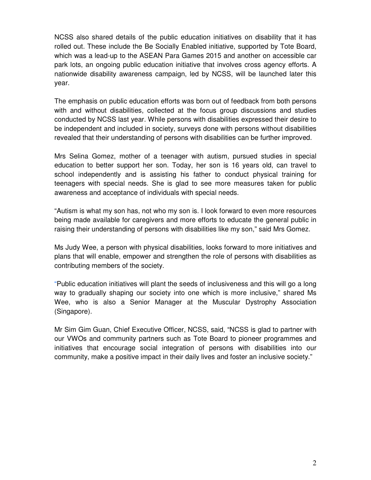NCSS also shared details of the public education initiatives on disability that it has rolled out. These include the Be Socially Enabled initiative, supported by Tote Board, which was a lead-up to the ASEAN Para Games 2015 and another on accessible car park lots, an ongoing public education initiative that involves cross agency efforts. A nationwide disability awareness campaign, led by NCSS, will be launched later this year.

The emphasis on public education efforts was born out of feedback from both persons with and without disabilities, collected at the focus group discussions and studies conducted by NCSS last year. While persons with disabilities expressed their desire to be independent and included in society, surveys done with persons without disabilities revealed that their understanding of persons with disabilities can be further improved.

Mrs Selina Gomez, mother of a teenager with autism, pursued studies in special education to better support her son. Today, her son is 16 years old, can travel to school independently and is assisting his father to conduct physical training for teenagers with special needs. She is glad to see more measures taken for public awareness and acceptance of individuals with special needs.

"Autism is what my son has, not who my son is. I look forward to even more resources being made available for caregivers and more efforts to educate the general public in raising their understanding of persons with disabilities like my son," said Mrs Gomez.

Ms Judy Wee, a person with physical disabilities, looks forward to more initiatives and plans that will enable, empower and strengthen the role of persons with disabilities as contributing members of the society.

"Public education initiatives will plant the seeds of inclusiveness and this will go a long way to gradually shaping our society into one which is more inclusive," shared Ms Wee, who is also a Senior Manager at the Muscular Dystrophy Association (Singapore).

Mr Sim Gim Guan, Chief Executive Officer, NCSS, said, "NCSS is glad to partner with our VWOs and community partners such as Tote Board to pioneer programmes and initiatives that encourage social integration of persons with disabilities into our community, make a positive impact in their daily lives and foster an inclusive society."